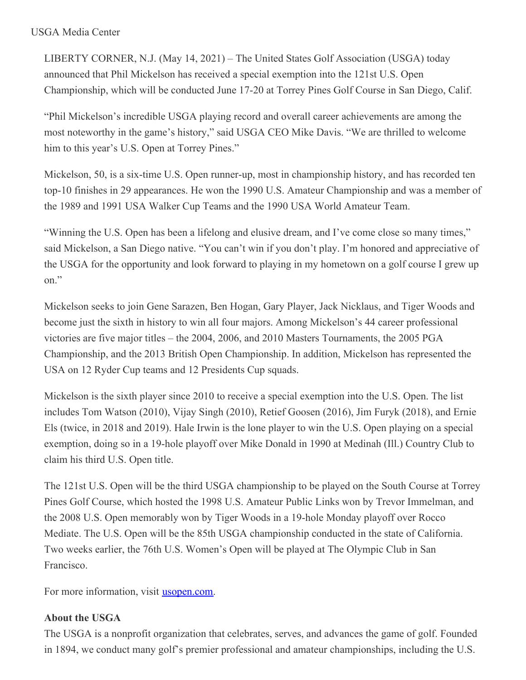## USGA Media Center

LIBERTY CORNER, N.J. (May 14, 2021) – The United States Golf Association (USGA) today announced that Phil Mickelson has received a special exemption into the 121st U.S. Open Championship, which will be conducted June 17-20 at Torrey Pines Golf Course in San Diego, Calif.

"Phil Mickelson's incredible USGA playing record and overall career achievements are among the most noteworthy in the game's history," said USGA CEO Mike Davis. "We are thrilled to welcome him to this year's U.S. Open at Torrey Pines."

Mickelson, 50, is a six-time U.S. Open runner-up, most in championship history, and has recorded ten top-10 finishes in 29 appearances. He won the 1990 U.S. Amateur Championship and was a member of the 1989 and 1991 USA Walker Cup Teams and the 1990 USA World Amateur Team.

"Winning the U.S. Open has been a lifelong and elusive dream, and I've come close so many times," said Mickelson, a San Diego native. "You can't win if you don't play. I'm honored and appreciative of the USGA for the opportunity and look forward to playing in my hometown on a golf course I grew up on."

Mickelson seeks to join Gene Sarazen, Ben Hogan, Gary Player, Jack Nicklaus, and Tiger Woods and become just the sixth in history to win all four majors. Among Mickelson's 44 career professional victories are five major titles – the 2004, 2006, and 2010 Masters Tournaments, the 2005 PGA Championship, and the 2013 British Open Championship. In addition, Mickelson has represented the USA on 12 Ryder Cup teams and 12 Presidents Cup squads.

Mickelson is the sixth player since 2010 to receive a special exemption into the U.S. Open. The list includes Tom Watson (2010), Vijay Singh (2010), Retief Goosen (2016), Jim Furyk (2018), and Ernie Els (twice, in 2018 and 2019). Hale Irwin is the lone player to win the U.S. Open playing on a special exemption, doing so in a 19-hole playoff over Mike Donald in 1990 at Medinah (Ill.) Country Club to claim his third U.S. Open title.

The 121st U.S. Open will be the third USGA championship to be played on the South Course at Torrey Pines Golf Course, which hosted the 1998 U.S. Amateur Public Links won by Trevor Immelman, and the 2008 U.S. Open memorably won by Tiger Woods in a 19-hole Monday playoff over Rocco Mediate. The U.S. Open will be the 85th USGA championship conducted in the state of California. Two weeks earlier, the 76th U.S. Women's Open will be played at The Olympic Club in San Francisco.

For more information, visit [usopen.com](https://nam12.safelinks.protection.outlook.com/?url=http%3A%2F%2Fwww.usopen.com%2F&data=04%7C01%7CJGeske%40USGA.org%7C009384e007664051a8c408d916f17b66%7C17abf7083a064391bdbd06808d1b9f81%7C0%7C0%7C637566048691639290%7CUnknown%7CTWFpbGZsb3d8eyJWIjoiMC4wLjAwMDAiLCJQIjoiV2luMzIiLCJBTiI6Ik1haWwiLCJXVCI6Mn0%3D%7C1000&sdata=RNdhBk6N1h9Wz7QM66EDnkd3lRca4n61uAlWk2gmDmQ%3D&reserved=0).

## **About the USGA**

The USGA is a nonprofit organization that celebrates, serves, and advances the game of golf. Founded in 1894, we conduct many golf's premier professional and amateur championships, including the U.S.